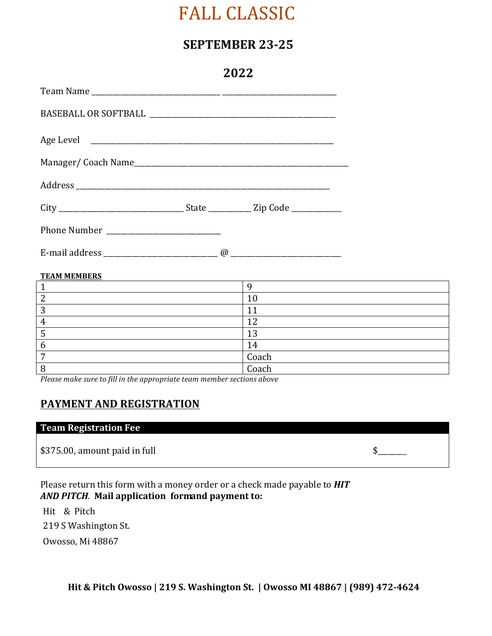# FALL CLASSIC

## **SEPTEMBER 23-25**

**2022**

| ZUZZ |  |  |
|------|--|--|
|      |  |  |
|      |  |  |
|      |  |  |
|      |  |  |
|      |  |  |
|      |  |  |
|      |  |  |
|      |  |  |

#### **TEAM MEMBERS**

| ◀<br>v         |
|----------------|
| ◢              |
| 1.0            |
| 1 Ω<br>ᆂ       |
| 14             |
| Coach<br>Coach |
|                |

Please make sure to fill in the appropriate team member sections above

## **PAYMENT AND REGISTRATION**

## **Team Registration Fee**

 $$375.00$ , amount paid in full  $$$ 

Please return this form with a money order or a check made payable to **HIT** *AND PITCH*. **Mail application formand payment to:**

Hit & Pitch 219 S Washington St. Owosso, Mi 48867